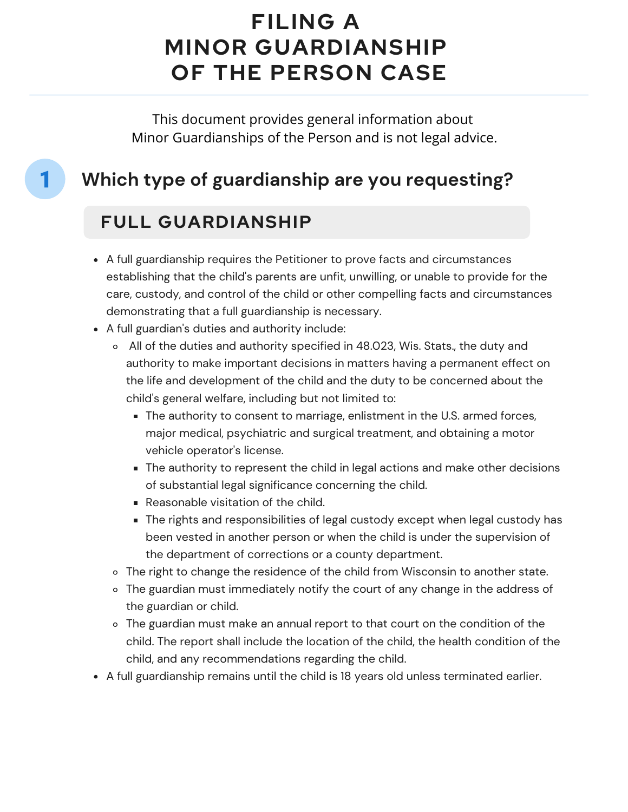# **FILING A MINOR GUARDIANSHIP OF THE PERSON CASE**

This document provides general information about Minor Guardianships of the Person and is not legal advice.

### **Which type of guardianship are you requesting?**

#### **FULL GUARDIANSHIP**

1

- A full guardianship requires the Petitioner to prove facts and circumstances establishing that the child's parents are unfit, unwilling, or unable to provide for the care, custody, and control of the child or other compelling facts and circumstances demonstrating that a full guardianship is necessary.
- A full guardian's duties and authority include:
	- All of the duties and authority specified in 48.023, Wis. Stats., the duty and authority to make important decisions in matters having a permanent effect on the life and development of the child and the duty to be concerned about the child's general welfare, including but not limited to:
		- The authority to consent to marriage, enlistment in the U.S. armed forces, major medical, psychiatric and surgical treatment, and obtaining a motor vehicle operator's license.
		- The authority to represent the child in legal actions and make other decisions of substantial legal significance concerning the child.
		- Reasonable visitation of the child.
		- The rights and responsibilities of legal custody except when legal custody has been vested in another person or when the child is under the supervision of the department of corrections or a county department.
	- o The right to change the residence of the child from Wisconsin to another state.
	- The guardian must immediately notify the court of any change in the address of the guardian or child.
	- The guardian must make an annual report to that court on the condition of the child. The report shall include the location of the child, the health condition of the child, and any recommendations regarding the child.
- A full guardianship remains until the child is 18 years old unless terminated earlier.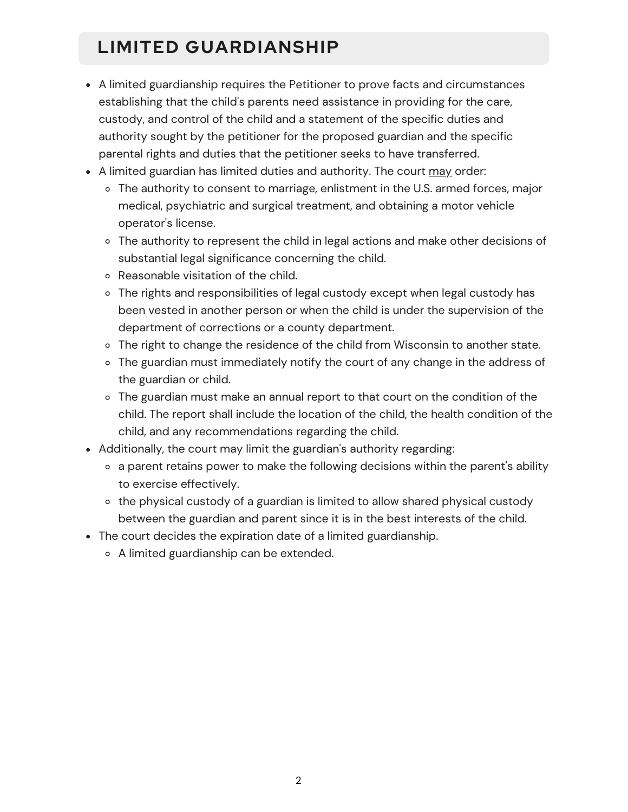#### **LIMITED GUARDIANSHIP**

- A limited guardianship requires the Petitioner to prove facts and circumstances establishing that the child's parents need assistance in providing for the care, custody, and control of the child and a statement of the specific duties and authority sought by the petitioner for the proposed guardian and the specific parental rights and duties that the petitioner seeks to have transferred.
- A limited guardian has limited duties and authority. The court may order:
	- The authority to consent to marriage, enlistment in the U.S. armed forces, major medical, psychiatric and surgical treatment, and obtaining a motor vehicle operator's license.
	- The authority to represent the child in legal actions and make other decisions of substantial legal significance concerning the child.
	- Reasonable visitation of the child.
	- The rights and responsibilities of legal custody except when legal custody has been vested in another person or when the child is under the supervision of the department of corrections or a county department.
	- o The right to change the residence of the child from Wisconsin to another state.
	- The guardian must immediately notify the court of any change in the address of the guardian or child.
	- The guardian must make an annual report to that court on the condition of the child. The report shall include the location of the child, the health condition of the child, and any recommendations regarding the child.
- Additionally, the court may limit the guardian's authority regarding:
	- a parent retains power to make the following decisions within the parent's ability to exercise effectively.
	- o the physical custody of a guardian is limited to allow shared physical custody between the guardian and parent since it is in the best interests of the child.
- The court decides the expiration date of a limited guardianship.
	- A limited guardianship can be extended.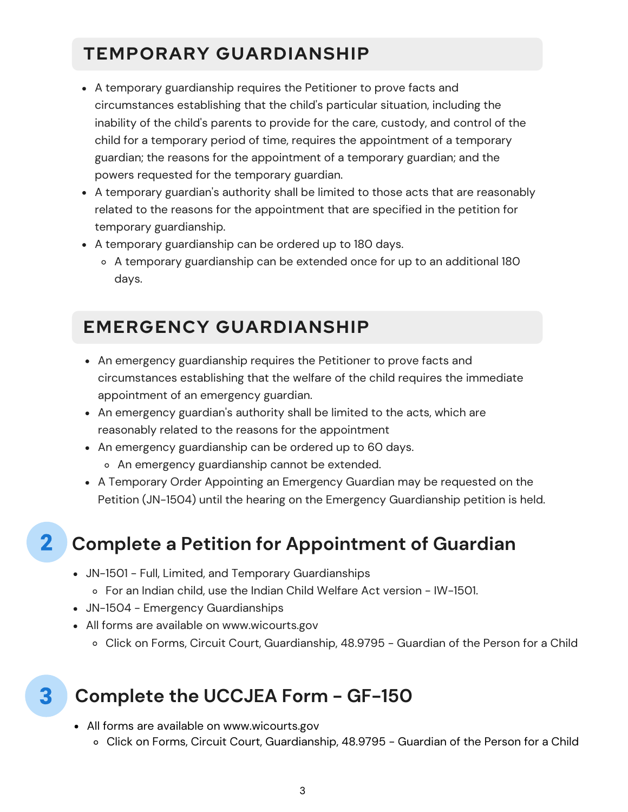#### **TEMPORARY GUARDIANSHIP**

- A temporary guardianship requires the Petitioner to prove facts and circumstances establishing that the child's particular situation, including the inability of the child's parents to provide for the care, custody, and control of the child for a temporary period of time, requires the appointment of a temporary guardian; the reasons for the appointment of a temporary guardian; and the powers requested for the temporary guardian.
- A temporary guardian's authority shall be limited to those acts that are reasonably related to the reasons for the appointment that are specified in the petition for temporary guardianship.
- A temporary guardianship can be ordered up to 180 days.
	- A temporary guardianship can be extended once for up to an additional 180 days.

#### **EMERGENCY GUARDIANSHIP**

- An emergency guardianship requires the Petitioner to prove facts and circumstances establishing that the welfare of the child requires the immediate appointment of an emergency guardian.
- An emergency guardian's authority shall be limited to the acts, which are reasonably related to the reasons for the appointment
- An emergency guardianship can be ordered up to 60 days.
	- o An emergency guardianship cannot be extended.
- A Temporary Order Appointing an Emergency Guardian may be requested on the Petition (JN-1504) until the hearing on the Emergency Guardianship petition is held.

#### **Complete a Petition for Appointment of Guardian**

- JN-1501 Full, Limited, and Temporary Guardianships For an Indian child, use the Indian Child Welfare Act version - IW-1501.
- JN-1504 Emergency Guardianships

 $\mathbf{2}$ 

3

- All forms are available on www.wicourts.gov
	- o Click on Forms, Circuit Court, [Guardian](https://www.wicourts.gov/forms1/circuit/ccform.jsp?FormName=&FormNumber=&beg_date=&end_date=&StatuteCite=&Category=69&SubCat=48.9795%20-%20Guardian%20of%20the%20Person%20for%20a%20Child)ship, 48.9795 Guardian of the Person for a Child

#### **Complete the UCCJEA Form - GF-150**

- All forms are available on www.wicourts.gov
	- Click on Forms, Circuit Court, Guardianship, 48.9795 Guardian of the Person for a Child